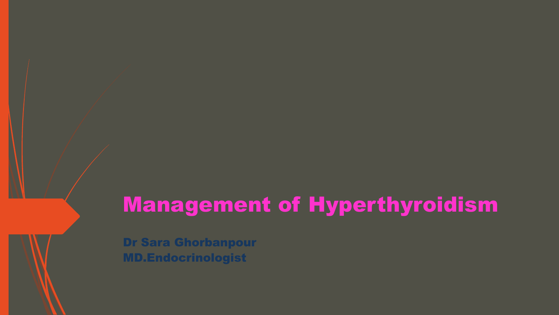# Management of Hyperthyroidism

Dr Sara Ghorbanpour MD.Endocrinologist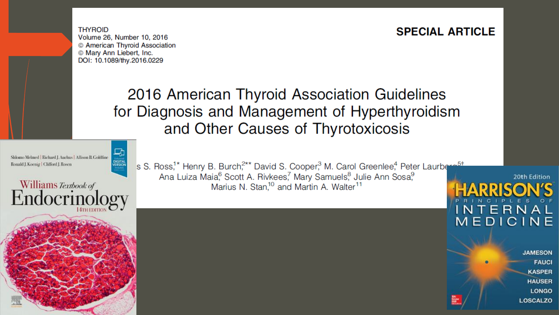### **SPECIAL ARTICLE**

**THYROID** Volume 26, Number 10, 2016 © American Thyroid Association © Mary Ann Liebert, Inc. DOI: 10.1089/thy.2016.0229

# 2016 American Thyroid Association Guidelines for Diagnosis and Management of Hyperthyroidism and Other Causes of Thyrotoxicosis





s S. Ross,<sup>1\*</sup> Henry B. Burch,<sup>2\*\*</sup> David S. Cooper,<sup>3</sup> M. Carol Greenlee,<sup>4</sup> Peter Laurberg<sup>5t</sup> Ana Luiza Maia, Scott A. Rivkees, Mary Samuels, Julie Ann Sosa, Marius N. Stan,<sup>10</sup> and Martin A. Walter<sup>11</sup>

> **JAMESON FAUCI KASPER HAUSER LONGO LOSCALZO**

20th Edition

NTERNAL

MEDICINE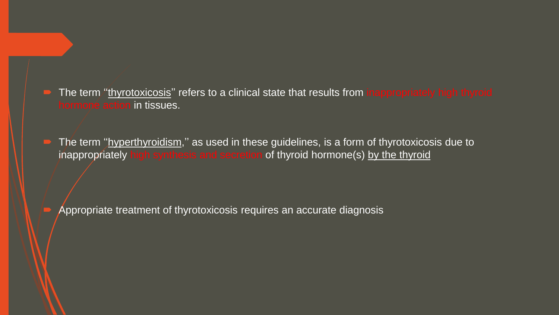- The term "thyrotoxicosis" refers to a clinical state that results from inappropriately high thyroid hormone action in tissues.
- The term "hyperthyroidism," as used in these guidelines, is a form of thyrotoxicosis due to inappropriately high synthesis and secretion of thyroid hormone(s) by the thyroid

Appropriate treatment of thyrotoxicosis requires an accurate diagnosis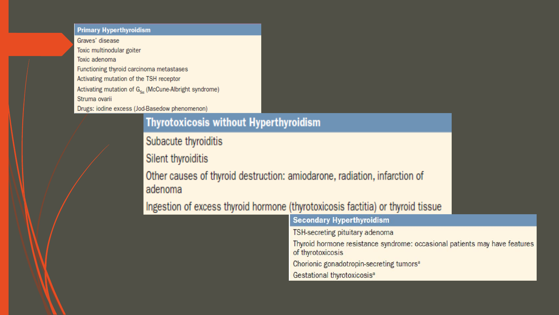#### **Primary Hyperthyroidism**

Graves' disease Toxic multinodular goiter Toxic adenoma Functioning thyroid carcinoma metastases Activating mutation of the TSH receptor Activating mutation of  $G_{s\alpha}$  (McCune-Albright syndrome) Struma ovarii Drugs: iodine excess (Jod-Basedow phenomenon)

### **Thyrotoxicosis without Hyperthyroidism**

Subacute thyroiditis

Silent thyroiditis

Other causes of thyroid destruction: amiodarone, radiation, infarction of adenoma

Ingestion of excess thyroid hormone (thyrotoxicosis factitia) or thyroid tissue

| <b>Secondary Hyperthyroidism</b>                                                                |
|-------------------------------------------------------------------------------------------------|
| TSH-secreting pituitary adenoma                                                                 |
| Thyroid hormone resistance syndrome: occasional patients may have features<br>of thyrotoxicosis |
| Chorionic gonadotropin-secreting tumors <sup>a</sup>                                            |
| Gestational thyrotoxicosis <sup>a</sup>                                                         |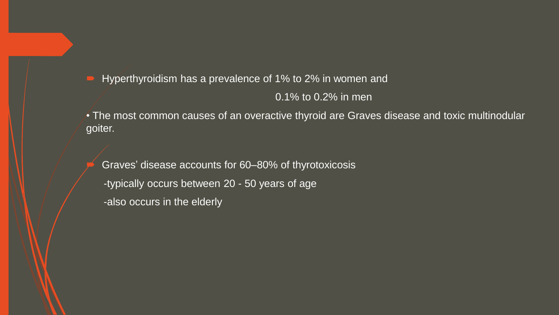- Hyperthyroidism has a prevalence of 1% to 2% in women and 0.1% to 0.2% in men
- The most common causes of an overactive thyroid are Graves disease and toxic multinodular goiter.

 Graves' disease accounts for 60–80% of thyrotoxicosis -typically occurs between 20 - 50 years of age -also occurs in the elderly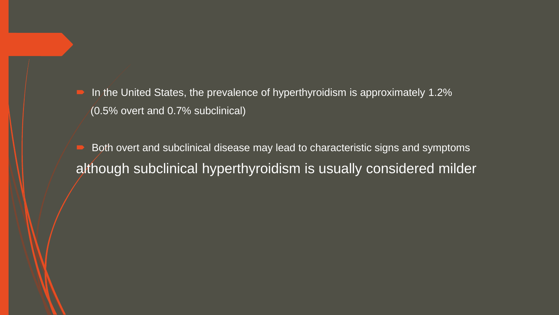In the United States, the prevalence of hyperthyroidism is approximately 1.2% (0.5% overt and 0.7% subclinical)

 Both overt and subclinical disease may lead to characteristic signs and symptoms although subclinical hyperthyroidism is usually considered milder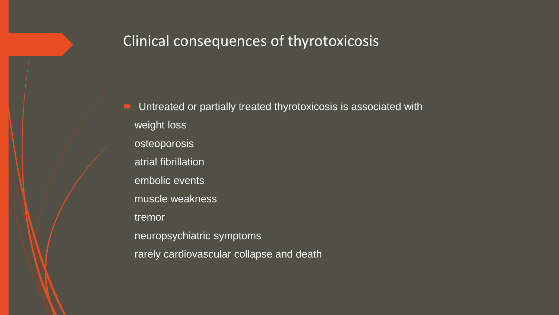## Clinical consequences of thyrotoxicosis

 Untreated or partially treated thyrotoxicosis is associated with weight loss osteoporosis atrial fibrillation embolic events muscle weakness tremor neuropsychiatric symptoms rarely cardiovascular collapse and death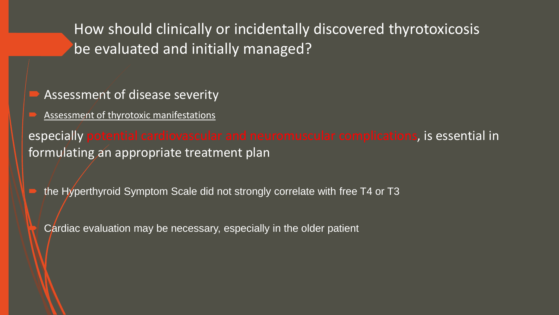How should clinically or incidentally discovered thyrotoxicosis be evaluated and initially managed?

- Assessment of disease severity
- Assessment of thyrotoxic manifestations

especially potential cardiovascular and neuromuscular complications, is essential in formulating an appropriate treatment plan

- the Hyperthyroid Symptom Scale did not strongly correlate with free T4 or T3
	- Cardiac evaluation may be necessary, especially in the older patient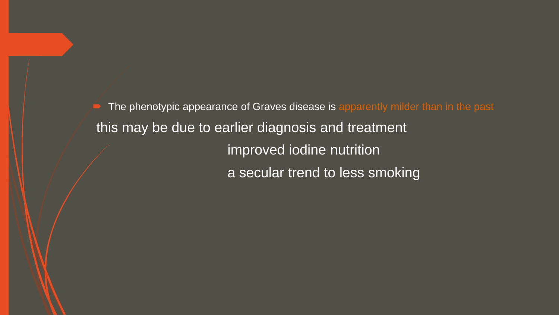The phenotypic appearance of Graves disease is apparently milder than in the past this may be due to earlier diagnosis and treatment improved iodine nutrition a secular trend to less smoking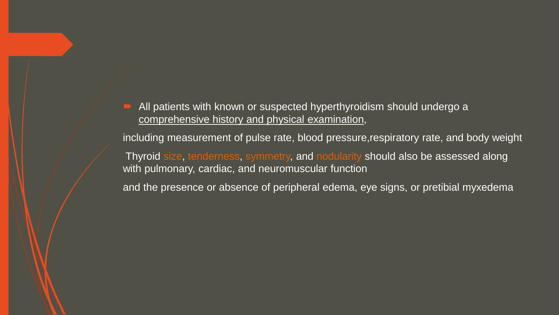All patients with known or suspected hyperthyroidism should undergo a comprehensive history and physical examination,

including measurement of pulse rate, blood pressure,respiratory rate, and body weight

Thyroid size, tenderness, symmetry, and nodularity should also be assessed along with pulmonary, cardiac, and neuromuscular function

and the presence or absence of peripheral edema, eye signs, or pretibial myxedema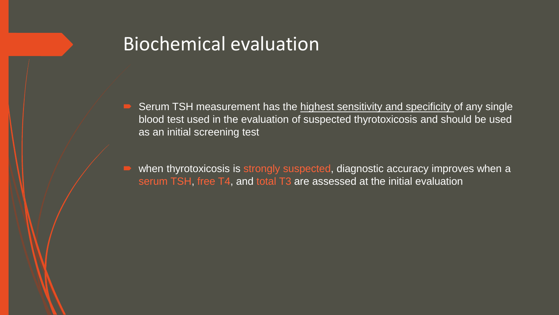# Biochemical evaluation

- Serum TSH measurement has the highest sensitivity and specificity of any single blood test used in the evaluation of suspected thyrotoxicosis and should be used as an initial screening test
- when thyrotoxicosis is strongly suspected, diagnostic accuracy improves when a serum TSH, free T4, and total T3 are assessed at the initial evaluation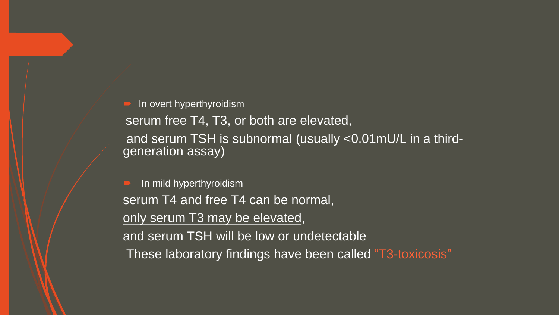In overt hyperthyroidism

serum free T4, T3, or both are elevated, and serum TSH is subnormal (usually <0.01mU/L in a thirdgeneration assay)

 In mild hyperthyroidism serum T4 and free T4 can be normal, only serum T3 may be elevated, and serum TSH will be low or undetectable These laboratory findings have been called "T3-toxicosis"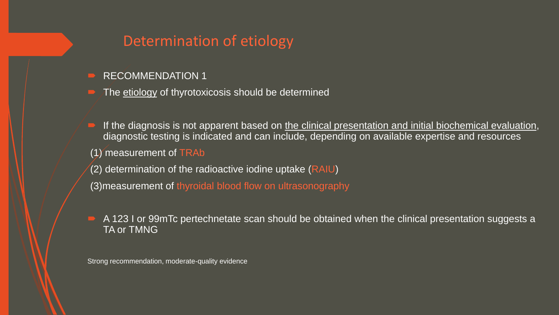# Determination of etiology

- RECOMMENDATION 1
- The etiology of thyrotoxicosis should be determined
- If the diagnosis is not apparent based on the clinical presentation and initial biochemical evaluation, diagnostic testing is indicated and can include, depending on available expertise and resources
- $(1)$  measurement of TRAb
- (2) determination of the radioactive iodine uptake (RAIU)
- (3)measurement of thyroidal blood flow on ultrasonography
- A 123 I or 99mTc pertechnetate scan should be obtained when the clinical presentation suggests a **TA or TMNG**

Strong recommendation, moderate-quality evidence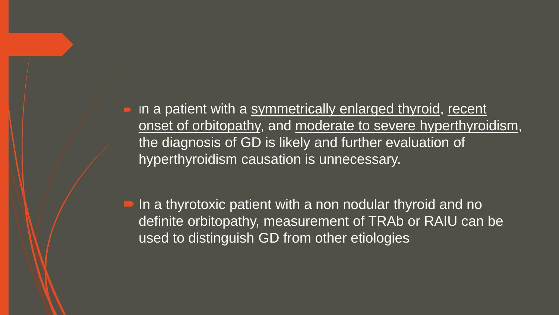• In a patient with a symmetrically enlarged thyroid, recent onset of orbitopathy, and moderate to severe hyperthyroidism, the diagnosis of GD is likely and further evaluation of hyperthyroidism causation is unnecessary.

■ In a thyrotoxic patient with a non nodular thyroid and no definite orbitopathy, measurement of TRAb or RAIU can be used to distinguish GD from other etiologies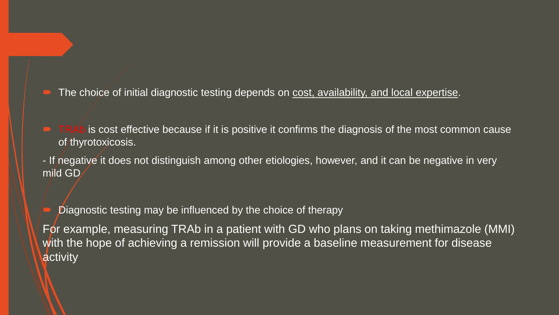The choice of initial diagnostic testing depends on cost, availability, and local expertise.

- $\blacksquare$  TRAb is cost effective because if it is positive it confirms the diagnosis of the most common cause of thyrotoxicosis.
- If negative it does not distinguish among other etiologies, however, and it can be negative in very mild GD

Diagnostic testing may be influenced by the choice of therapy

For example, measuring TRAb in a patient with GD who plans on taking methimazole (MMI) with the hope of achieving a remission will provide a baseline measurement for disease activity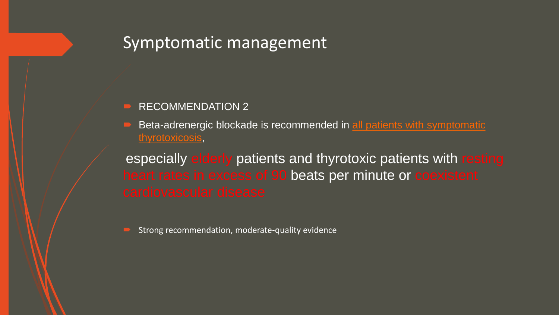# Symptomatic management

#### RECOMMENDATION 2

 Beta-adrenergic blockade is recommended in all patients with symptomatic thyrotoxicosis,

especially elderly patients and thyrotoxic patients with resting heart rates in excess of 90 beats per minute or coexistent

Strong recommendation, moderate-quality evidence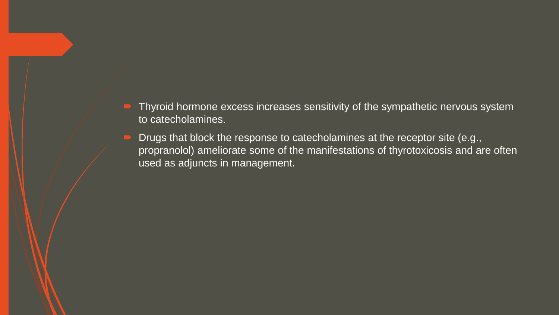- Thyroid hormone excess increases sensitivity of the sympathetic nervous system to catecholamines.
- Drugs that block the response to catecholamines at the receptor site (e.g., propranolol) ameliorate some of the manifestations of thyrotoxicosis and are often used as adjuncts in management.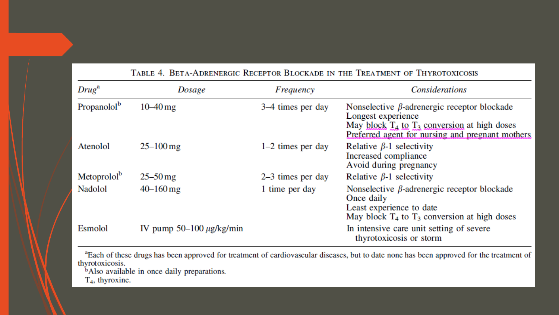|                         | TABLE T. DETA ADRENERUIU REUEFTUR DEUURADE IN THE TREATMENT UF THTRUTUAIUUSIS |                     |                                                                                                                                                                                   |  |  |  |
|-------------------------|-------------------------------------------------------------------------------|---------------------|-----------------------------------------------------------------------------------------------------------------------------------------------------------------------------------|--|--|--|
| $Drug^a$                | Dosage                                                                        | Frequency           | <b>Considerations</b>                                                                                                                                                             |  |  |  |
| Propanolol <sup>b</sup> | $10 - 40$ mg                                                                  | 3–4 times per day   | Nonselective $\beta$ -adrenergic receptor blockade<br>Longest experience<br>May block $T_4$ to $T_3$ conversion at high doses<br>Preferred agent for nursing and pregnant mothers |  |  |  |
| Atenolol                | $25 - 100$ mg                                                                 | $1-2$ times per day | Relative $\beta$ -1 selectivity<br>Increased compliance<br>Avoid during pregnancy                                                                                                 |  |  |  |
| Metoprolol <sup>b</sup> | $25 - 50$ mg                                                                  | $2-3$ times per day | Relative $\beta$ -1 selectivity                                                                                                                                                   |  |  |  |
| Nadolol                 | $40 - 160$ mg                                                                 | 1 time per day      | Nonselective $\beta$ -adrenergic receptor blockade<br>Once daily<br>Least experience to date<br>May block $T_4$ to $T_3$ conversion at high doses                                 |  |  |  |
| Esmolol                 | IV pump $50-100 \mu g/kg/min$                                                 |                     | In intensive care unit setting of severe<br>thyrotoxicosis or storm                                                                                                               |  |  |  |

TABLE 4 BETA-ADPENERGIC RECEPTOR BLOCKADE IN THE TREATMENT OF THYPOTOXICOSIS

<sup>a</sup>Each of these drugs has been approved for treatment of cardiovascular diseases, but to date none has been approved for the treatment of thyrotoxicosis.

<sup>b</sup>Also available in once daily preparations.

 $T_4$ , thyroxine.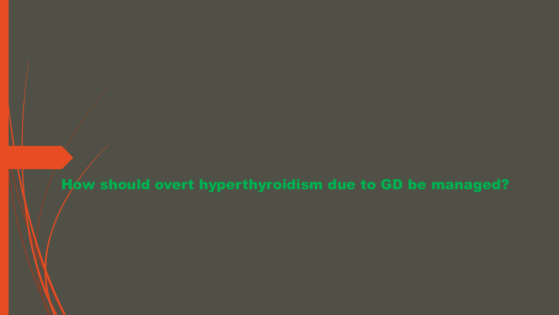How should overt hyperthyroidism due to GD be managed?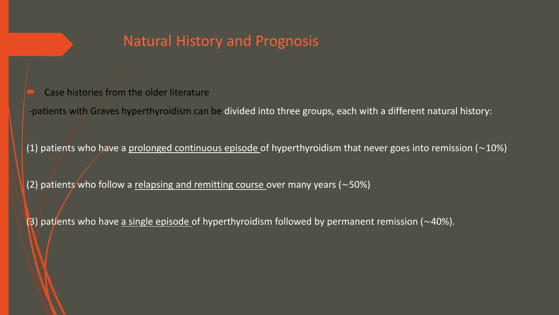# Natural History and Prognosis

- Case histories from the older literature
- -patients with Graves hyperthyroidism can be divided into three groups, each with a different natural history:

(1) patients who have a prolonged continuous episode of hyperthyroidism that never goes into remission (∼10%)

(2) patients who follow a relapsing and remitting course over many years (~50%)

(3) patients who have a single episode of hyperthyroidism followed by permanent remission (~40%).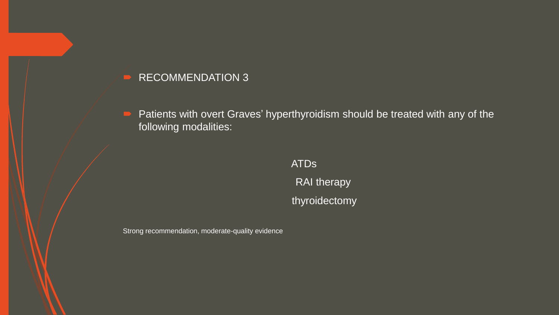Patients with overt Graves' hyperthyroidism should be treated with any of the following modalities:

> ATDs RAI therapy thyroidectomy

Strong recommendation, moderate-quality evidence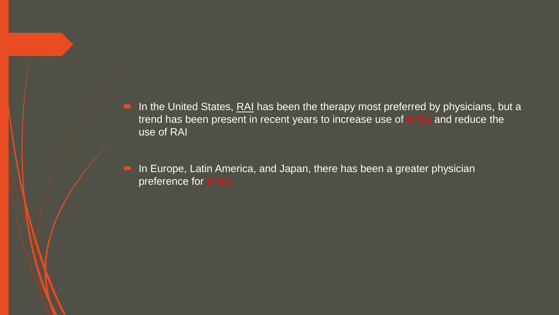- In the United States, RAI has been the therapy most preferred by physicians, but a trend has been present in recent years to increase use of ATDs and reduce the use of RAI
- In Europe, Latin America, and Japan, there has been a greater physician preference for ATDs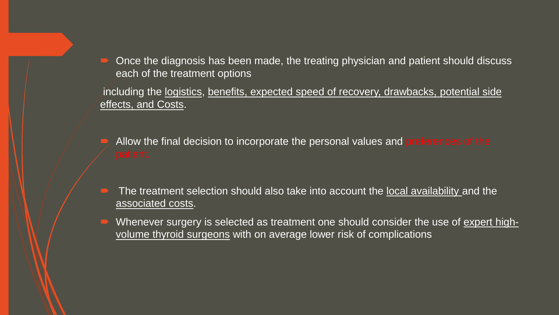Once the diagnosis has been made, the treating physician and patient should discuss each of the treatment options

including the <u>logistics</u>, benefits, expected speed of recovery, drawbacks, potential side effects, and Costs.

- Allow the final decision to incorporate the personal values and preferences of the
- The treatment selection should also take into account the local availability and the associated costs.
- Whenever surgery is selected as treatment one should consider the use of expert highvolume thyroid surgeons with on average lower risk of complications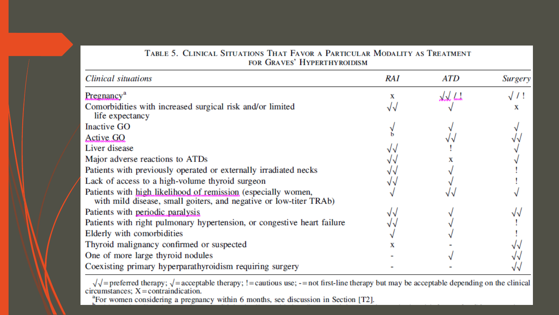| TABLE 5. CLINICAL SITUATIONS THAT FAVOR A PARTICULAR MODALITY AS TREATMENT<br>FOR GRAVES' HYPERTHYROIDISM                          |     |               |                |  |  |
|------------------------------------------------------------------------------------------------------------------------------------|-----|---------------|----------------|--|--|
| Clinical situations                                                                                                                | RAI | ATD           | <b>Surgery</b> |  |  |
| Pregnancy <sup>a</sup>                                                                                                             | х   | <u> VV Ll</u> |                |  |  |
| Comorbidities with increased surgical risk and/or limited<br>life expectancy                                                       |     |               |                |  |  |
| <b>Inactive GO</b>                                                                                                                 |     |               |                |  |  |
| Active GO                                                                                                                          |     |               |                |  |  |
| Liver disease                                                                                                                      |     |               |                |  |  |
| Major adverse reactions to ATDs                                                                                                    |     |               |                |  |  |
| Patients with previously operated or externally irradiated necks                                                                   |     |               |                |  |  |
| Lack of access to a high-volume thyroid surgeon                                                                                    |     |               |                |  |  |
| Patients with high likelihood of remission (especially women,<br>with mild disease, small goiters, and negative or low-titer TRAb) |     |               |                |  |  |
| Patients with periodic paralysis                                                                                                   |     |               |                |  |  |
| Patients with right pulmonary hypertension, or congestive heart failure                                                            |     |               |                |  |  |
| Elderly with comorbidities                                                                                                         |     |               |                |  |  |
| Thyroid malignancy confirmed or suspected                                                                                          |     |               |                |  |  |
| One of more large thyroid nodules                                                                                                  |     |               |                |  |  |
| Coexisting primary hyperparathyroidism requiring surgery                                                                           |     |               |                |  |  |

 $\sqrt{\sqrt{\ }}$  = preferred therapy;  $\sqrt{\ }$  = acceptable therapy; ! = cautious use; - = not first-line therapy but may be acceptable depending on the clinical circumstances; X = contraindication.

<sup>a</sup>For women considering a pregnancy within 6 months, see discussion in Section [T2].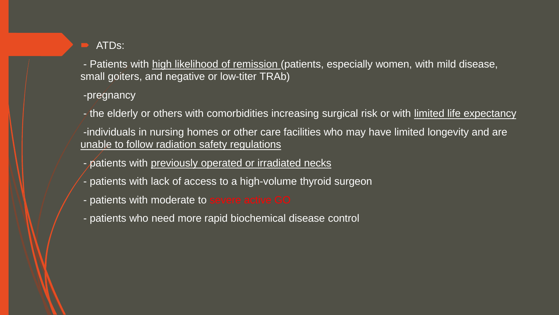### **ATDs:**

- Patients with high likelihood of remission (patients, especially women, with mild disease, small goiters, and negative or low-titer TRAb)

- -pregnancy
- the elderly or others with comorbidities increasing surgical risk or with limited life expectancy
- -individuals in nursing homes or other care facilities who may have limited longevity and are unable to follow radiation safety regulations
- patients with previously operated or irradiated necks
- patients with lack of access to a high-volume thyroid surgeon
- patients with moderate to severe active GO
- patients who need more rapid biochemical disease control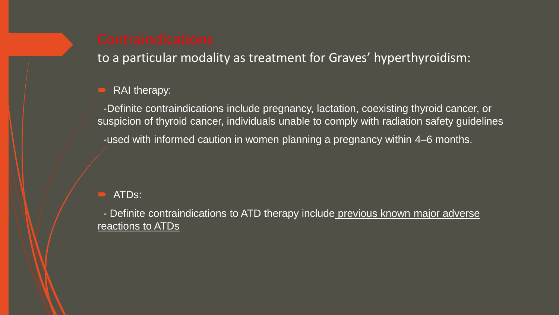to a particular modality as treatment for Graves' hyperthyroidism:

#### RAI therapy:

-Definite contraindications include pregnancy, lactation, coexisting thyroid cancer, or suspicion of thyroid cancer, individuals unable to comply with radiation safety guidelines -used with informed caution in women planning a pregnancy within 4–6 months.

#### ATDs:

- Definite contraindications to ATD therapy include previous known major adverse reactions to ATDs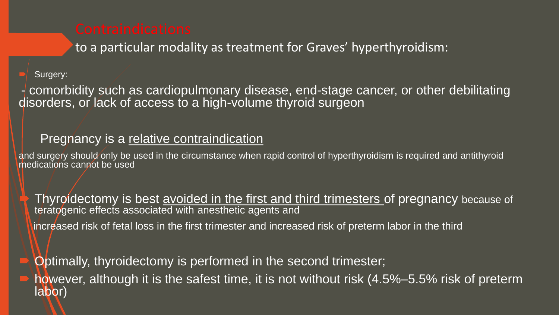to a particular modality as treatment for Graves' hyperthyroidism:

#### Surgery:

- comorbidity such as cardiopulmonary disease, end-stage cancer, or other debilitating disorders, or lack of access to a high-volume thyroid surgeon

### Pregnancy is a relative contraindication

and surgery should only be used in the circumstance when rapid control of hyperthyroidism is required and antithyroid medications cannot be used

 Thyroidectomy is best avoided in the first and third trimesters of pregnancy because of teratogenic effects associated with anesthetic agents and increased risk of fetal loss in the first trimester and increased risk of preterm labor in the third

Optimally, thyroidectomy is performed in the second trimester;

 however, although it is the safest time, it is not without risk (4.5%–5.5% risk of preterm labor)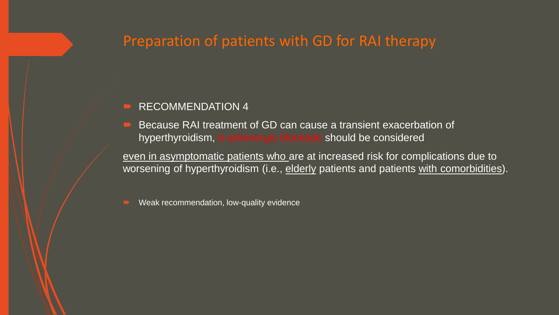# Preparation of patients with GD for RAI therapy

#### RECOMMENDATION 4

 Because RAI treatment of GD can cause a transient exacerbation of hyperthyroidism, b-adrenergic blockade should be considered

even in asymptomatic patients who are at increased risk for complications due to worsening of hyperthyroidism (i.e., elderly patients and patients with comorbidities).

Weak recommendation, low-quality evidence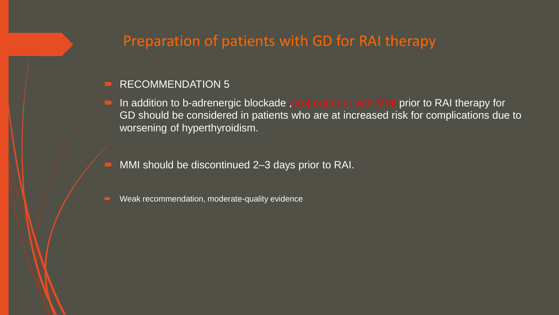# Preparation of patients with GD for RAI therapy

#### RECOMMENDATION 5

- In addition to b-adrenergic blockade ,pretreatment with MMI prior to RAI therapy for GD should be considered in patients who are at increased risk for complications due to worsening of hyperthyroidism.
- MMI should be discontinued 2–3 days prior to RAI.
- Weak recommendation, moderate-quality evidence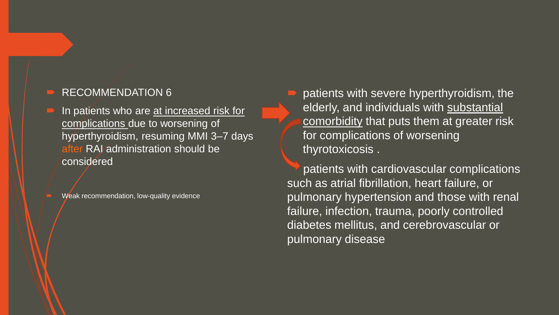In patients who are at increased risk for complications due to worsening of hyperthyroidism, resuming MMI 3–7 days RAI administration should be considered

Weak recommendation, low-quality evidence

 patients with severe hyperthyroidism, the elderly, and individuals with substantial comorbidity that puts them at greater risk for complications of worsening thyrotoxicosis .

patients with cardiovascular complications such as atrial fibrillation, heart failure, or pulmonary hypertension and those with renal failure, infection, trauma, poorly controlled diabetes mellitus, and cerebrovascular or pulmonary disease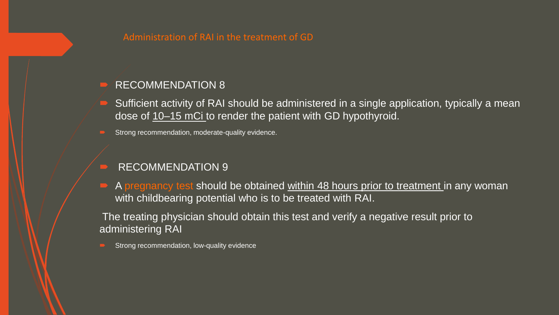$\blacktriangleright$  Sufficient activity of RAI should be administered in a single application, typically a mean dose of  $10-15$  mCi to render the patient with GD hypothyroid.

Strong recommendation, moderate-quality evidence.

#### RECOMMENDATION 9

 $\blacktriangleright$  A pregnancy test should be obtained within 48 hours prior to treatment in any woman with childbearing potential who is to be treated with RAI.

The treating physician should obtain this test and verify a negative result prior to administering RAI

Strong recommendation, low-quality evidence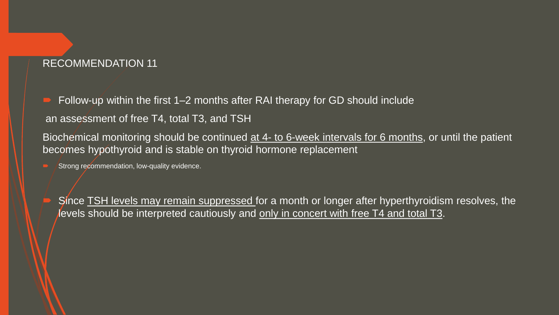Follow-up within the first 1–2 months after RAI therapy for GD should include

an assessment of free T4, total T3, and TSH

Biochemical monitoring should be continued at 4- to 6-week intervals for 6 months, or until the patient becomes hypothyroid and is stable on thyroid hormone replacement

Strong recommendation, low-quality evidence.

Since **TSH levels may remain suppressed** for a month or longer after hyperthyroidism resolves, the levels should be interpreted cautiously and only in concert with free T4 and total T3.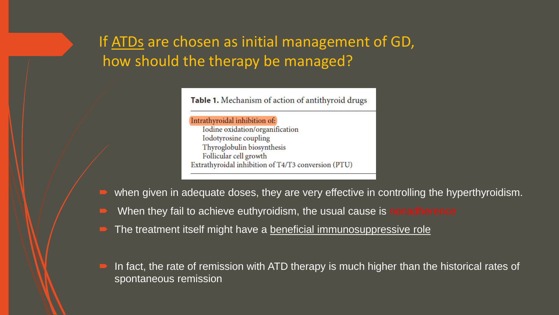# If ATDs are chosen as initial management of GD, how should the therapy be managed?

Table 1. Mechanism of action of antithyroid drugs

Intrathyroidal inhibition of: Iodine oxidation/organification Iodotyrosine coupling Thyroglobulin biosynthesis Follicular cell growth Extrathyroidal inhibition of T4/T3 conversion (PTU)

when given in adequate doses, they are very effective in controlling the hyperthyroidism.

- When they fail to achieve euthyroidism, the usual cause is nonadherence
- The treatment itself might have a beneficial immunosuppressive role
- In fact, the rate of remission with ATD therapy is much higher than the historical rates of spontaneous remission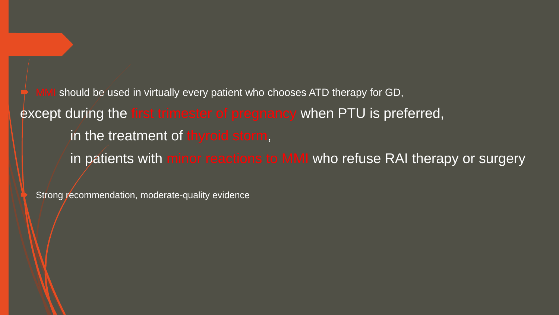should be used in virtually every patient who chooses ATD therapy for GD, except during the first trimester of pregnancy when PTU is preferred, in the treatment of thyroid storm, in patients with minor reactions to MMI who refuse RAI therapy or surgery

Strong recommendation, moderate-quality evidence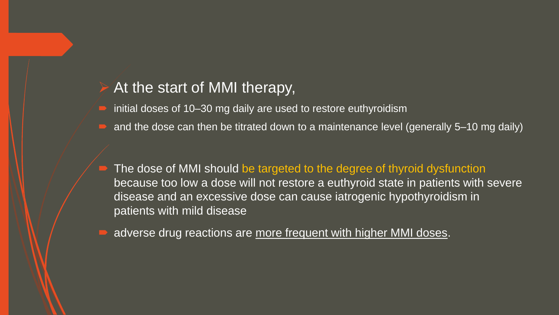## At the start of MMI therapy,

- initial doses of 10–30 mg daily are used to restore euthyroidism
- $\Box$  and the dose can then be titrated down to a maintenance level (generally 5–10 mg daily)

 The dose of MMI should be targeted to the degree of thyroid dysfunction because too low a dose will not restore a euthyroid state in patients with severe disease and an excessive dose can cause iatrogenic hypothyroidism in patients with mild disease

adverse drug reactions are more frequent with higher MMI doses.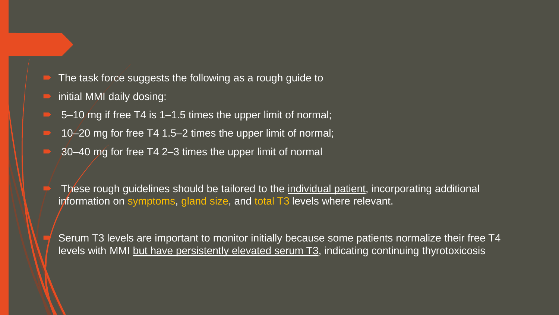- $\blacksquare$  The task force suggests the following as a rough guide to
- $\blacksquare$  initial MMI daily dosing:
- 5–10 mg if free T4 is 1–1.5 times the upper limit of normal;
- 10–20 mg for free T4 1.5–2 times the upper limit of normal;
- 30–40 mg for free T4 2–3 times the upper limit of normal

 These rough guidelines should be tailored to the individual patient, incorporating additional information on symptoms, gland size, and total T3 levels where relevant.

 Serum T3 levels are important to monitor initially because some patients normalize their free T4 levels with MMI but have persistently elevated serum T3, indicating continuing thyrotoxicosis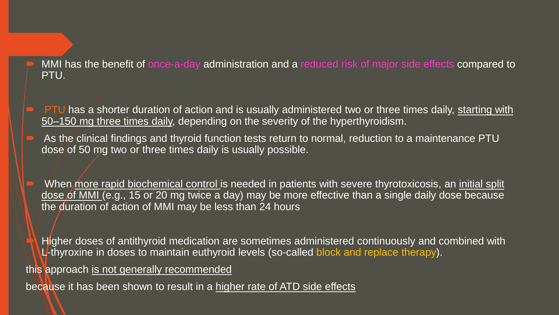MMI has the benefit of once-a-day administration and a reduced risk of major side effects compared to PTU.

- $\blacksquare$  PTU has a shorter duration of action and is usually administered two or three times daily, starting with 50–150 mg three times daily, depending on the severity of the hyperthyroidism.
- As the clinical findings and thyroid function tests return to normal, reduction to a maintenance PTU dose of 50 mg two or three times daily is usually possible.

When more rapid biochemical control is needed in patients with severe thyrotoxicosis, an initial split dose of MMI (e.g., 15 or 20 mg twice a day) may be more effective than a single daily dose because the duration of action of MMI may be less than 24 hours

 Higher doses of antithyroid medication are sometimes administered continuously and combined with L-thyroxine in doses to maintain euthyroid levels (so-called block and replace therapy).

this approach is not generally recommended

because it has been shown to result in a higher rate of ATD side effects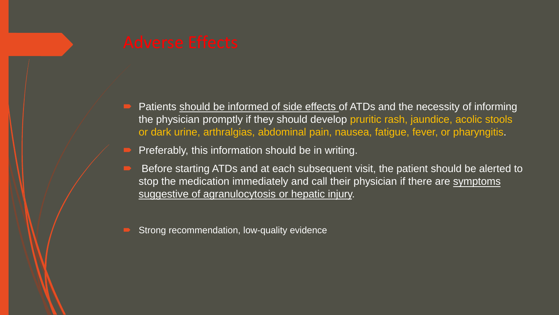- Patients should be informed of side effects of ATDs and the necessity of informing the physician promptly if they should develop pruritic rash, jaundice, acolic stools or dark urine, arthralgias, abdominal pain, nausea, fatigue, fever, or pharyngitis.
- Preferably, this information should be in writing.
- Before starting ATDs and at each subsequent visit, the patient should be alerted to stop the medication immediately and call their physician if there are symptoms suggestive of agranulocytosis or hepatic injury.
- Strong recommendation, low-quality evidence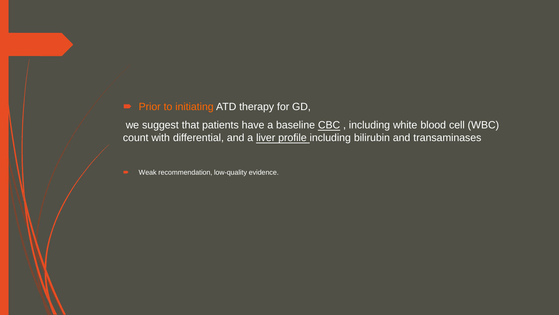### **Prior to initiating ATD therapy for GD,**

we suggest that patients have a baseline CBC, including white blood cell (WBC) count with differential, and a liver profile including bilirubin and transaminases

Weak recommendation, low-quality evidence.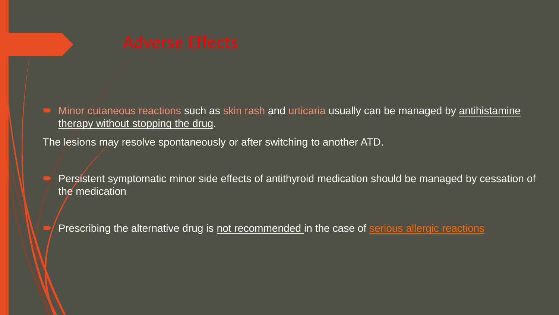Minor cutaneous reactions such as skin rash and urticaria usually can be managed by antihistamine therapy without stopping the drug.

The lesions may resolve spontaneously or after switching to another ATD.

- Persistent symptomatic minor side effects of antithyroid medication should be managed by cessation of the medication
- Prescribing the alternative drug is not recommended in the case of serious allergic reactions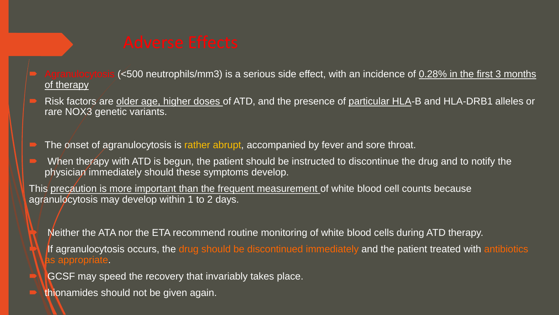- granulocytosis (<500 neutrophils/mm3) is a serious side effect, with an incidence of 0.28% in the first 3 months of therapy
- Risk factors are older age, higher doses of ATD, and the presence of particular HLA-B and HLA-DRB1 alleles or rare NOX3 genetic variants.
- The onset of agranulocytosis is rather abrupt, accompanied by fever and sore throat.
- When therapy with ATD is begun, the patient should be instructed to discontinue the drug and to notify the physician immediately should these symptoms develop.

This precaution is more important than the frequent measurement of white blood cell counts because agranulocytosis may develop within 1 to 2 days.

- Neither the ATA nor the ETA recommend routine monitoring of white blood cells during ATD therapy. If agranulocytosis occurs, the drug should be discontinued immediately and the patient treated with antibiotics as appropriate.
- GCSF may speed the recovery that invariably takes place.
- thionamides should not be given again.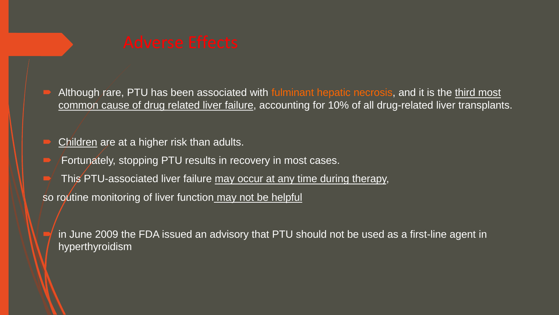Although rare, PTU has been associated with fulminant hepatic necrosis, and it is the third most common cause of drug related liver failure, accounting for 10% of all drug-related liver transplants.

Children are at a higher risk than adults.

Fortunately, stopping PTU results in recovery in most cases.

This PTU-associated liver failure may occur at any time during therapy,

so routine monitoring of liver function may not be helpful

 in June 2009 the FDA issued an advisory that PTU should not be used as a first-line agent in hyperthyroidism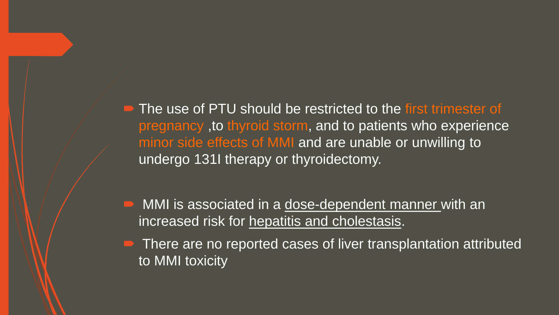The use of PTU should be restricted to the first trimester of pregnancy ,to thyroid storm, and to patients who experience minor side effects of MMI and are unable or unwilling to undergo 131I therapy or thyroidectomy.

MMI is associated in a dose-dependent manner with an increased risk for hepatitis and cholestasis.

• There are no reported cases of liver transplantation attributed to MMI toxicity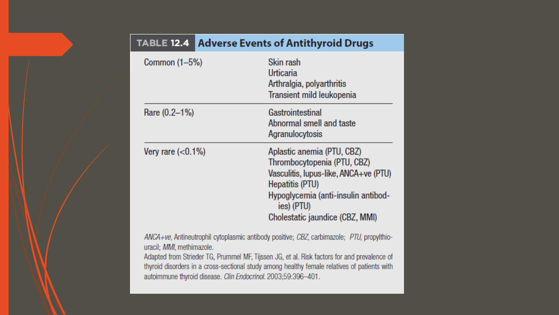| <b>TABLE 12.4</b>                 | Adverse Events of Antithyroid Drugs                                                                                                                                                                           |
|-----------------------------------|---------------------------------------------------------------------------------------------------------------------------------------------------------------------------------------------------------------|
| Common (1-5%)                     | Skin rash<br>Urticaria<br>Arthralgia, polyarthritis<br>Transient mild leukopenia                                                                                                                              |
| Rare (0.2–1%)                     | Gastrointestinal<br>Abnormal smell and taste<br>Agranulocytosis                                                                                                                                               |
| Very rare $\left( <0.1\% \right)$ | Aplastic anemia (PTU, CBZ)<br>Thrombocytopenia (PTU, CBZ)<br>Vasculitis, Iupus-like, ANCA+ve (PTU)<br>Hepatitis (PTU)<br>Hypoglycemia (anti-insulin antibod-<br>ies) (PTU)<br>Cholestatic jaundice (CBZ, MMI) |
| uracil; MMI, methimazole.         | ANCA+ve, Antineutrophil cytoplasmic antibody positive; CBZ, carbimazole; PTU, propylthio-<br>Adapted from Striader TC, Drummal ME Tijegan, IC, et al. Rick factors for and prevalence of                      |

Adapted from Strieder 1G, Prummel MF, Hijssen JG, et al. Risk factors for and prevalence of thyroid disorders in a cross-sectional study among healthy female relatives of patients with autoimmune thyroid disease. Clin Endocrinol. 2003;59:396-401.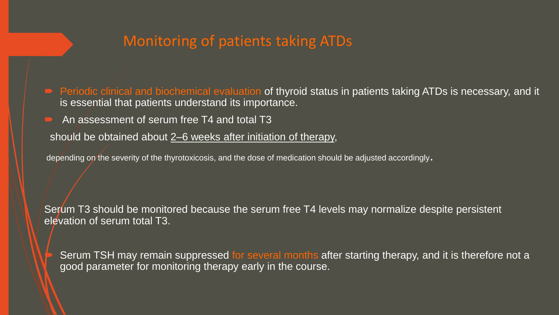## Monitoring of patients taking ATDs

■ Periodic clinical and biochemical evaluation of thyroid status in patients taking ATDs is necessary, and it is essential that patients understand its importance.

An assessment of serum free T4 and total T3

should be obtained about 2–6 weeks after initiation of therapy,

depending on the severity of the thyrotoxicosis, and the dose of medication should be adjusted accordingly.

Serum T3 should be monitored because the serum free T4 levels may normalize despite persistent elevation of serum total T3.

Serum TSH may remain suppressed for several months after starting therapy, and it is therefore not a good parameter for monitoring therapy early in the course.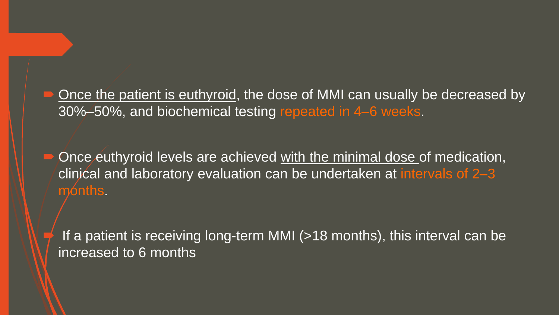Once the patient is euthyroid, the dose of MMI can usually be decreased by 30%–50%, and biochemical testing repeated in 4–6 weeks.

Once euthyroid levels are achieved with the minimal dose of medication, clinical and laboratory evaluation can be undertaken at intervals of 2–3 months.

If a patient is receiving long-term MMI (>18 months), this interval can be increased to 6 months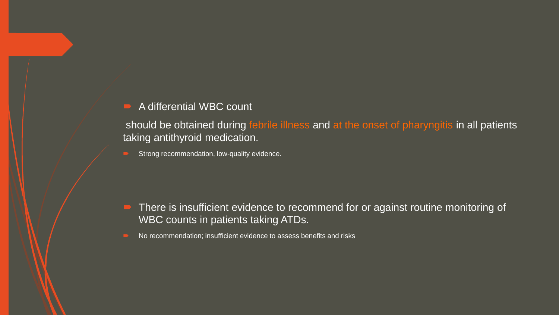#### A differential WBC count

should be obtained during febrile illness and at the onset of pharyngitis in all patients taking antithyroid medication.

Strong recommendation, low-quality evidence.

- There is insufficient evidence to recommend for or against routine monitoring of WBC counts in patients taking ATDs.
- No recommendation; insufficient evidence to assess benefits and risks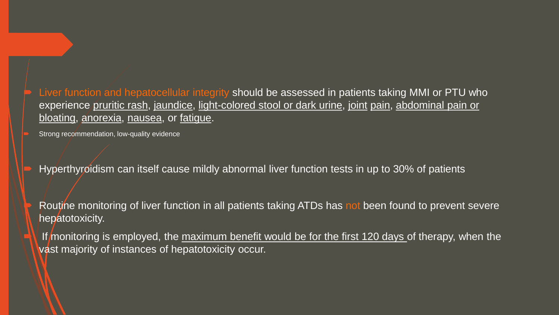Liver function and hepatocellular integrity should be assessed in patients taking MMI or PTU who experience pruritic rash, jaundice, light-colored stool or dark urine, joint pain, abdominal pain or bloating, anorexia, nausea, or fatigue.

Strong recommendation, low-quality evidence

Hyperthyroidism can itself cause mildly abnormal liver function tests in up to 30% of patients

Routine monitoring of liver function in all patients taking ATDs has not been found to prevent severe hepatotoxicity.

If monitoring is employed, the maximum benefit would be for the first 120 days of therapy, when the vast majority of instances of hepatotoxicity occur.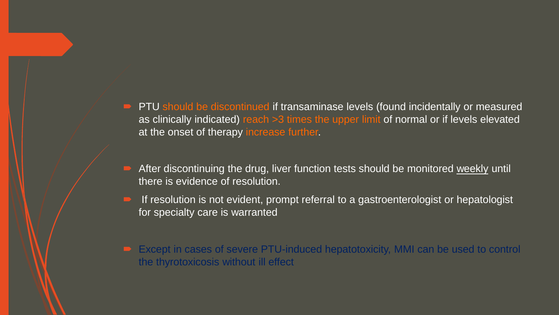- **PTU** should be discontinued if transaminase levels (found incidentally or measured as clinically indicated) reach >3 times the upper limit of normal or if levels elevated at the onset of therapy increase further.
- After discontinuing the drug, liver function tests should be monitored weekly until there is evidence of resolution.
- If resolution is not evident, prompt referral to a gastroenterologist or hepatologist for specialty care is warranted
- Except in cases of severe PTU-induced hepatotoxicity, MMI can be used to control the thyrotoxicosis without ill effect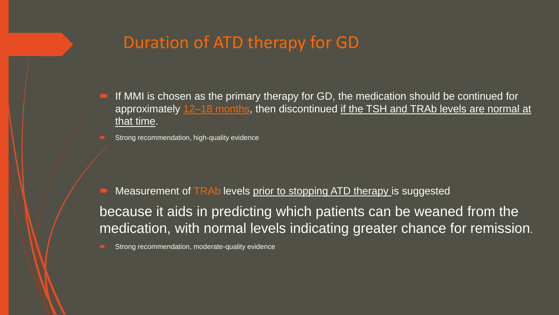# Duration of ATD therapy for GD

- If MMI is chosen as the primary therapy for GD, the medication should be continued for approximately 12–18 months, then discontinued if the TSH and TRAb levels are normal at that time.
- Strong recommendation, high-quality evidence

 Measurement of TRAb levels prior to stopping ATD therapy is suggested because it aids in predicting which patients can be weaned from the medication, with normal levels indicating greater chance for remission.

Strong recommendation, moderate-quality evidence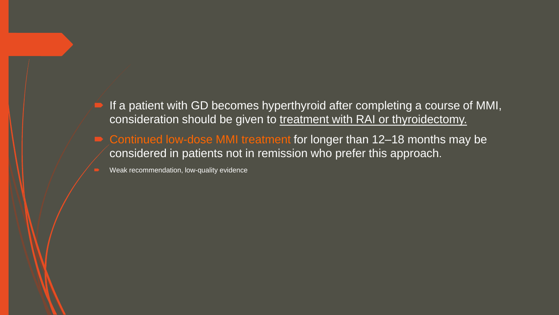- If a patient with GD becomes hyperthyroid after completing a course of MMI, consideration should be given to treatment with RAI or thyroidectomy.
- Continued low-dose MMI treatment for longer than 12-18 months may be considered in patients not in remission who prefer this approach.

Weak recommendation, low-quality evidence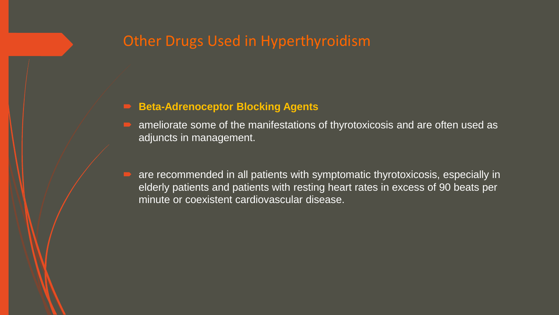# Other Drugs Used in Hyperthyroidism

#### **Beta-Adrenoceptor Blocking Agents**

- ameliorate some of the manifestations of thyrotoxicosis and are often used as adjuncts in management.
- are recommended in all patients with symptomatic thyrotoxicosis, especially in elderly patients and patients with resting heart rates in excess of 90 beats per minute or coexistent cardiovascular disease.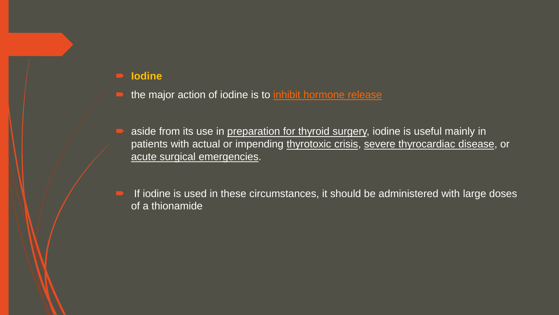#### **Iodine**

- the major action of iodine is to inhibit hormone release
- aside from its use in preparation for thyroid surgery, iodine is useful mainly in patients with actual or impending thyrotoxic crisis, severe thyrocardiac disease, or acute surgical emergencies.
- If iodine is used in these circumstances, it should be administered with large doses of a thionamide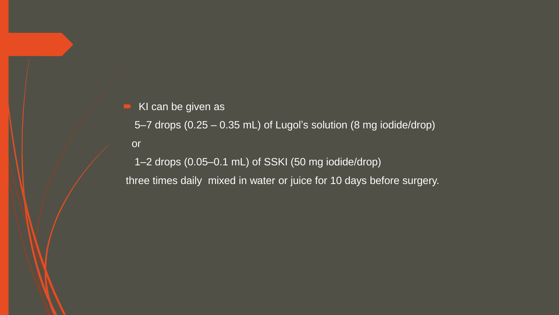### $\blacktriangleright$  KI can be given as

5–7 drops (0.25 – 0.35 mL) of Lugol's solution (8 mg iodide/drop)

or

1–2 drops (0.05–0.1 mL) of SSKI (50 mg iodide/drop) three times daily mixed in water or juice for 10 days before surgery.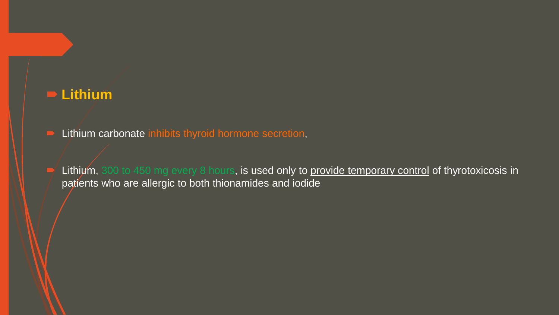## **Lithium**

**E** Lithium carbonate inhibits thyroid hormone secretion,

Lithium, 300 to 450 mg every 8 hours, is used only to provide temporary control of thyrotoxicosis in patients who are allergic to both thionamides and iodide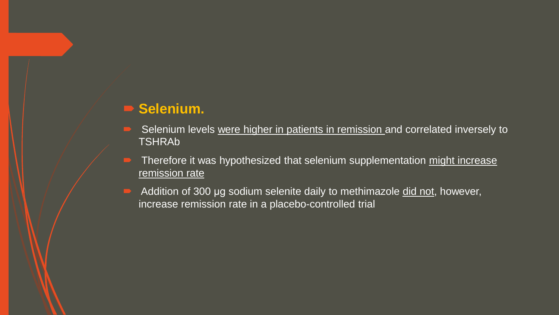## **Selenium.**

- Selenium levels were higher in patients in remission and correlated inversely to TSHRAb
- $\blacksquare$  Therefore it was hypothesized that selenium supplementation might increase remission rate
- Addition of 300 μg sodium selenite daily to methimazole did not, however, increase remission rate in a placebo-controlled trial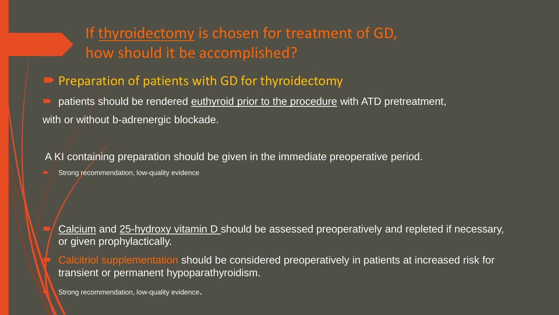# If thyroidectomy is chosen for treatment of GD, how should it be accomplished?

 $\blacktriangleright$  Preparation of patients with GD for thyroidectomy

patients should be rendered euthyroid prior to the procedure with ATD pretreatment, with or without b-adrenergic blockade.

A KI containing preparation should be given in the immediate preoperative period.

Strong recommendation, low-quality evidence

 Calcium and 25-hydroxy vitamin D should be assessed preoperatively and repleted if necessary, or given prophylactically.

 Calcitriol supplementation should be considered preoperatively in patients at increased risk for transient or permanent hypoparathyroidism.

Strong recommendation, low-quality evidence.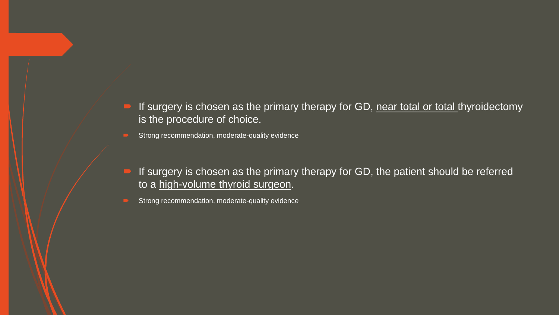- If surgery is chosen as the primary therapy for GD, near total or total thyroidectomy is the procedure of choice.
- Strong recommendation, moderate-quality evidence
- If surgery is chosen as the primary therapy for GD, the patient should be referred to a high-volume thyroid surgeon.
- Strong recommendation, moderate-quality evidence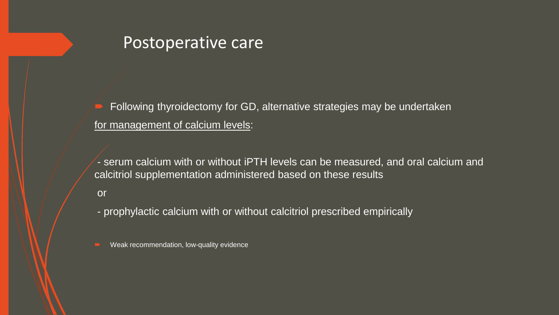# Postoperative care

 Following thyroidectomy for GD, alternative strategies may be undertaken for management of calcium levels:

- serum calcium with or without iPTH levels can be measured, and oral calcium and calcitriol supplementation administered based on these results

or

- prophylactic calcium with or without calcitriol prescribed empirically

**EXECUTE:** Weak recommendation, low-quality evidence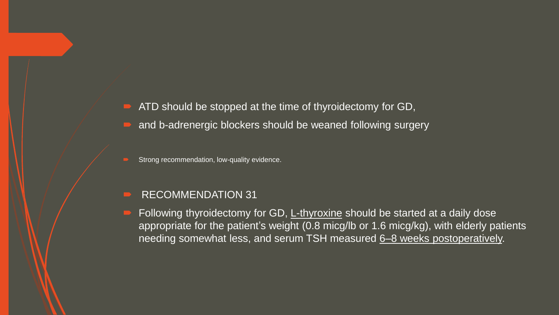- ATD should be stopped at the time of thyroidectomy for GD,
- and b-adrenergic blockers should be weaned following surgery
- Strong recommendation, low-quality evidence.
- RECOMMENDATION 31
- Following thyroidectomy for GD, L-thyroxine should be started at a daily dose appropriate for the patient's weight (0.8 micg/lb or 1.6 micg/kg), with elderly patients needing somewhat less, and serum TSH measured 6–8 weeks postoperatively.